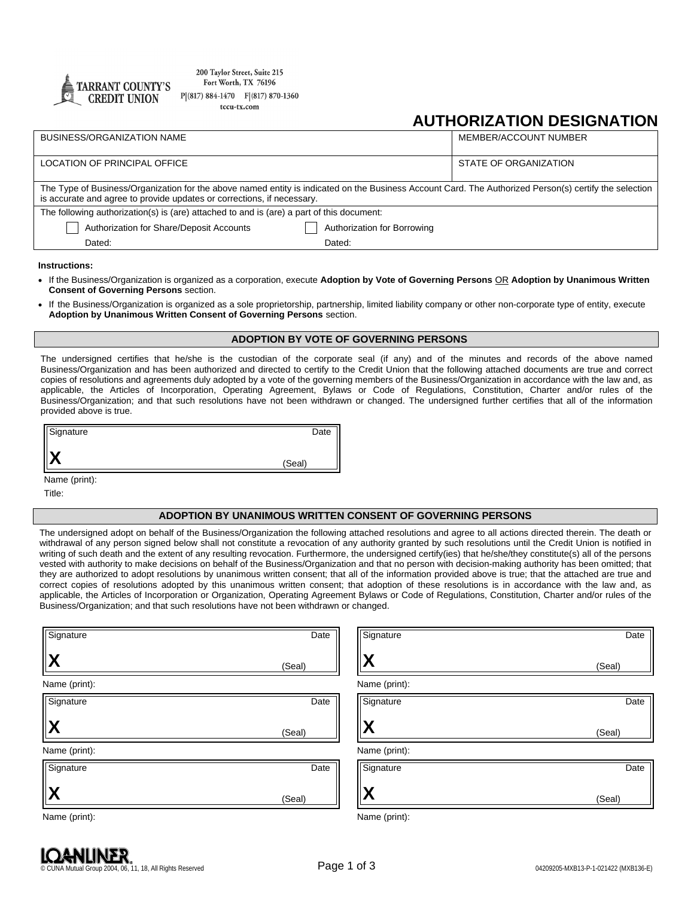

200 Taylor Street, Suite 215 Fort Worth, TX 76196  $P(817) 884-1470 F(817) 870-1360$ tccu-tx.com

## **AUTHORIZATION DESIGNATION**

| <b>BUSINESS/ORGANIZATION NAME</b>                                                                                                                                                                                                |                             | MEMBER/ACCOUNT NUMBER |  |
|----------------------------------------------------------------------------------------------------------------------------------------------------------------------------------------------------------------------------------|-----------------------------|-----------------------|--|
| LOCATION OF PRINCIPAL OFFICE                                                                                                                                                                                                     |                             | STATE OF ORGANIZATION |  |
| The Type of Business/Organization for the above named entity is indicated on the Business Account Card. The Authorized Person(s) certify the selection<br>is accurate and agree to provide updates or corrections, if necessary. |                             |                       |  |
| The following authorization(s) is (are) attached to and is (are) a part of this document:                                                                                                                                        |                             |                       |  |
| Authorization for Share/Deposit Accounts                                                                                                                                                                                         | Authorization for Borrowing |                       |  |
| Dated:                                                                                                                                                                                                                           | Dated:                      |                       |  |
|                                                                                                                                                                                                                                  |                             |                       |  |

**Instructions:**

- If the Business/Organization is organized as a corporation, execute **Adoption by Vote of Governing Persons** OR **Adoption by Unanimous Written Consent of Governing Persons** section.
- If the Business/Organization is organized as a sole proprietorship, partnership, limited liability company or other non-corporate type of entity, execute **Adoption by Unanimous Written Consent of Governing Persons** section.

## **ADOPTION BY VOTE OF GOVERNING PERSONS**

The undersigned certifies that he/she is the custodian of the corporate seal (if any) and of the minutes and records of the above named Business/Organization and has been authorized and directed to certify to the Credit Union that the following attached documents are true and correct copies of resolutions and agreements duly adopted by a vote of the governing members of the Business/Organization in accordance with the law and, as applicable, the Articles of Incorporation, Operating Agreement, Bylaws or Code of Regulations, Constitution, Charter and/or rules of the Business/Organization; and that such resolutions have not been withdrawn or changed. The undersigned further certifies that all of the information provided above is true.

| Signature | Date   |
|-----------|--------|
| "         | (Seal) |

Name (print):

Title:

## **ADOPTION BY UNANIMOUS WRITTEN CONSENT OF GOVERNING PERSONS**

The undersigned adopt on behalf of the Business/Organization the following attached resolutions and agree to all actions directed therein. The death or withdrawal of any person signed below shall not constitute a revocation of any authority granted by such resolutions until the Credit Union is notified in writing of such death and the extent of any resulting revocation. Furthermore, the undersigned certify(ies) that he/she/they constitute(s) all of the persons vested with authority to make decisions on behalf of the Business/Organization and that no person with decision-making authority has been omitted; that they are authorized to adopt resolutions by unanimous written consent; that all of the information provided above is true; that the attached are true and correct copies of resolutions adopted by this unanimous written consent; that adoption of these resolutions is in accordance with the law and, as applicable, the Articles of Incorporation or Organization, Operating Agreement Bylaws or Code of Regulations, Constitution, Charter and/or rules of the Business/Organization; and that such resolutions have not been withdrawn or changed.

| Signature           | Date   | Signature     | Date   |
|---------------------|--------|---------------|--------|
| $ {\bm X} $         | (Seal) | X             | (Seal) |
| Name (print):       |        | Name (print): |        |
| Signature           | Date   | Signature     | Date   |
| $ \bm{\mathsf{X}} $ | (Seal) | X             | (Seal) |
| Name (print):       |        | Name (print): |        |
| Signature           | Date   | Signature     | Date   |
| $\mathbf X$         | (Seal) | X             | (Seal) |
| Name (print):       |        | Name (print): |        |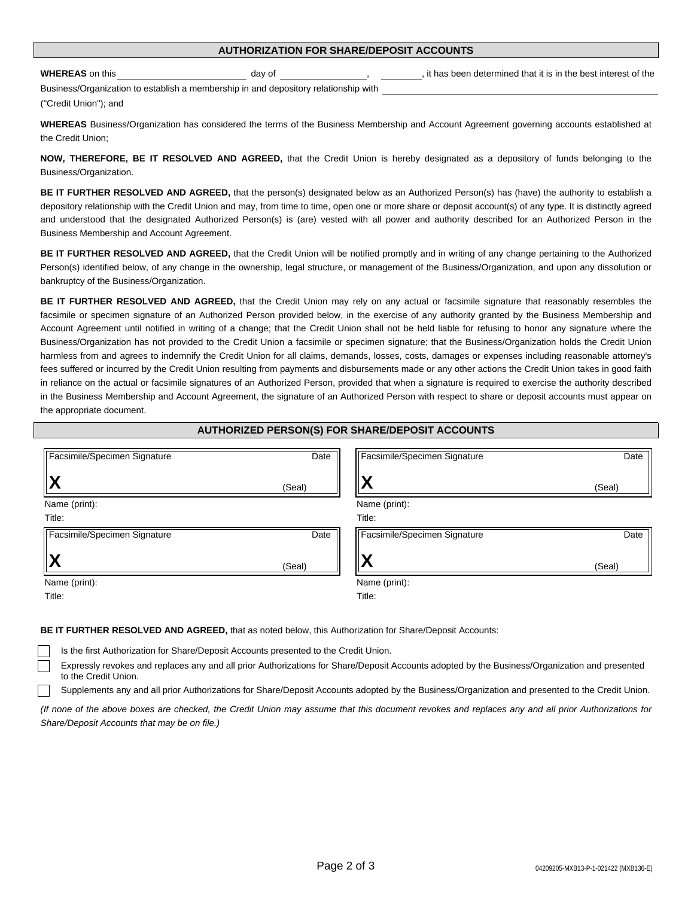**WHEREAS** on this day of day of the best interest of the set interest of the day of the best interest of the best interest of the

Business/Organization to establish a membership in and depository relationship with ("Credit Union"); and

**WHEREAS** Business/Organization has considered the terms of the Business Membership and Account Agreement governing accounts established at the Credit Union;

**NOW, THEREFORE, BE IT RESOLVED AND AGREED,** that the Credit Union is hereby designated as a depository of funds belonging to the Business/Organization.

**BE IT FURTHER RESOLVED AND AGREED,** that the person(s) designated below as an Authorized Person(s) has (have) the authority to establish a depository relationship with the Credit Union and may, from time to time, open one or more share or deposit account(s) of any type. It is distinctly agreed and understood that the designated Authorized Person(s) is (are) vested with all power and authority described for an Authorized Person in the Business Membership and Account Agreement.

**BE IT FURTHER RESOLVED AND AGREED,** that the Credit Union will be notified promptly and in writing of any change pertaining to the Authorized Person(s) identified below, of any change in the ownership, legal structure, or management of the Business/Organization, and upon any dissolution or bankruptcy of the Business/Organization.

**BE IT FURTHER RESOLVED AND AGREED,** that the Credit Union may rely on any actual or facsimile signature that reasonably resembles the facsimile or specimen signature of an Authorized Person provided below, in the exercise of any authority granted by the Business Membership and Account Agreement until notified in writing of a change; that the Credit Union shall not be held liable for refusing to honor any signature where the Business/Organization has not provided to the Credit Union a facsimile or specimen signature; that the Business/Organization holds the Credit Union harmless from and agrees to indemnify the Credit Union for all claims, demands, losses, costs, damages or expenses including reasonable attorney's fees suffered or incurred by the Credit Union resulting from payments and disbursements made or any other actions the Credit Union takes in good faith in reliance on the actual or facsimile signatures of an Authorized Person, provided that when a signature is required to exercise the authority described in the Business Membership and Account Agreement, the signature of an Authorized Person with respect to share or deposit accounts must appear on the appropriate document.

| AUTHORIZED PERSON(S) FOR SHARE/DEPOSIT ACCOUNTS |        |                              |        |
|-------------------------------------------------|--------|------------------------------|--------|
| Facsimile/Specimen Signature                    | Date   | Facsimile/Specimen Signature | Date   |
|                                                 | (Seal) | Χ                            | (Seal) |
| Name (print):                                   |        | Name (print):                |        |
| Title:                                          |        | Title:                       |        |
| Facsimile/Specimen Signature                    | Date   | Facsimile/Specimen Signature | Date   |
| l X                                             | (Seal) |                              | (Seal) |
| Name (print):                                   |        | Name (print):                |        |
| Title:                                          |        | Title:                       |        |

**BE IT FURTHER RESOLVED AND AGREED,** that as noted below, this Authorization for Share/Deposit Accounts:

Is the first Authorization for Share/Deposit Accounts presented to the Credit Union.

Expressly revokes and replaces any and all prior Authorizations for Share/Deposit Accounts adopted by the Business/Organization and presented to the Credit Union.

Supplements any and all prior Authorizations for Share/Deposit Accounts adopted by the Business/Organization and presented to the Credit Union.

(If none of the above boxes are checked, the Credit Union may assume that this document revokes and replaces any and all prior Authorizations for *Share/Deposit Accounts that may be on file.)*